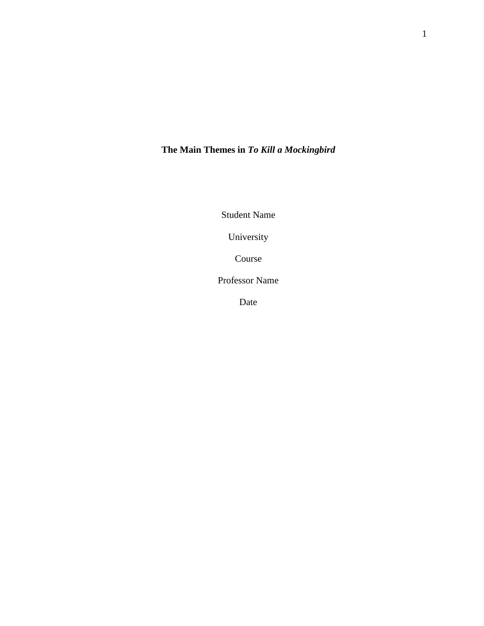# **The Main Themes in** *To Kill a Mockingbird*

Student Name

University

Course

Professor Name

Date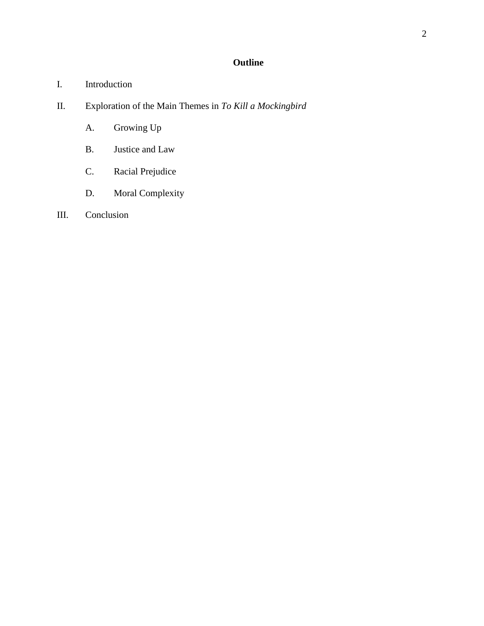# **Outline**

- I. Introduction
- II. Exploration of the Main Themes in *To Kill a Mockingbird*
	- A. Growing Up
	- B. Justice and Law
	- C. Racial Prejudice
	- D. Moral Complexity
- III. Conclusion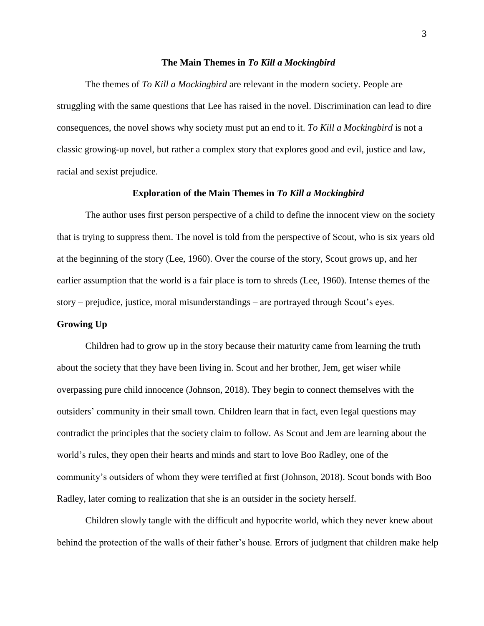## **The Main Themes in** *To Kill a Mockingbird*

The themes of *To Kill a Mockingbird* are relevant in the modern society. People are struggling with the same questions that Lee has raised in the novel. Discrimination can lead to dire consequences, the novel shows why society must put an end to it. *To Kill a Mockingbird* is not a classic growing-up novel, but rather a complex story that explores good and evil, justice and law, racial and sexist prejudice.

#### **Exploration of the Main Themes in** *To Kill a Mockingbird*

The author uses first person perspective of a child to define the innocent view on the society that is trying to suppress them. The novel is told from the perspective of Scout, who is six years old at the beginning of the story (Lee, 1960). Over the course of the story, Scout grows up, and her earlier assumption that the world is a fair place is torn to shreds (Lee, 1960). Intense themes of the story – prejudice, justice, moral misunderstandings – are portrayed through Scout's eyes.

#### **Growing Up**

Children had to grow up in the story because their maturity came from learning the truth about the society that they have been living in. Scout and her brother, Jem, get wiser while overpassing pure child innocence (Johnson, 2018). They begin to connect themselves with the outsiders' community in their small town. Children learn that in fact, even legal questions may contradict the principles that the society claim to follow. As Scout and Jem are learning about the world's rules, they open their hearts and minds and start to love Boo Radley, one of the community's outsiders of whom they were terrified at first (Johnson, 2018). Scout bonds with Boo Radley, later coming to realization that she is an outsider in the society herself.

Children slowly tangle with the difficult and hypocrite world, which they never knew about behind the protection of the walls of their father's house. Errors of judgment that children make help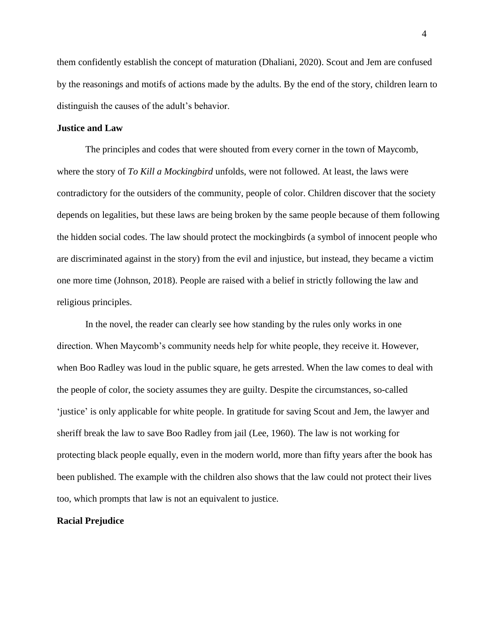them confidently establish the concept of maturation (Dhaliani, 2020). Scout and Jem are confused by the reasonings and motifs of actions made by the adults. By the end of the story, children learn to distinguish the causes of the adult's behavior.

#### **Justice and Law**

The principles and codes that were shouted from every corner in the town of Maycomb, where the story of *To Kill a Mockingbird* unfolds, were not followed. At least, the laws were contradictory for the outsiders of the community, people of color. Children discover that the society depends on legalities, but these laws are being broken by the same people because of them following the hidden social codes. The law should protect the mockingbirds (a symbol of innocent people who are discriminated against in the story) from the evil and injustice, but instead, they became a victim one more time (Johnson, 2018). People are raised with a belief in strictly following the law and religious principles.

In the novel, the reader can clearly see how standing by the rules only works in one direction. When Maycomb's community needs help for white people, they receive it. However, when Boo Radley was loud in the public square, he gets arrested. When the law comes to deal with the people of color, the society assumes they are guilty. Despite the circumstances, so-called 'justice' is only applicable for white people. In gratitude for saving Scout and Jem, the lawyer and sheriff break the law to save Boo Radley from jail (Lee, 1960). The law is not working for protecting black people equally, even in the modern world, more than fifty years after the book has been published. The example with the children also shows that the law could not protect their lives too, which prompts that law is not an equivalent to justice.

#### **Racial Prejudice**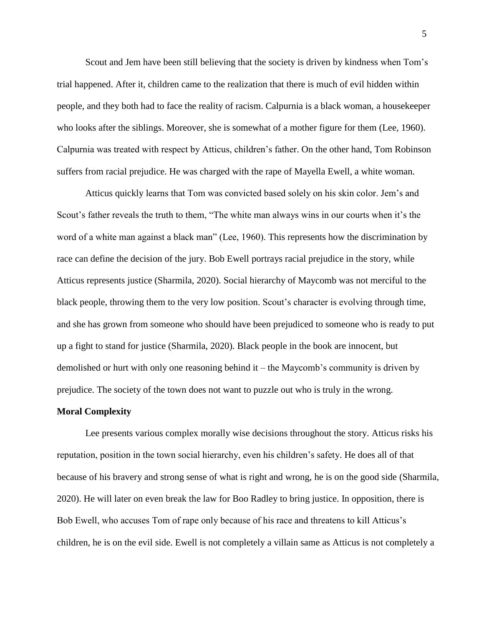Scout and Jem have been still believing that the society is driven by kindness when Tom's trial happened. After it, children came to the realization that there is much of evil hidden within people, and they both had to face the reality of racism. Calpurnia is a black woman, a housekeeper who looks after the siblings. Moreover, she is somewhat of a mother figure for them (Lee, 1960). Calpurnia was treated with respect by Atticus, children's father. On the other hand, Tom Robinson suffers from racial prejudice. He was charged with the rape of Mayella Ewell, a white woman.

Atticus quickly learns that Tom was convicted based solely on his skin color. Jem's and Scout's father reveals the truth to them, "The white man always wins in our courts when it's the word of a white man against a black man" (Lee, 1960). This represents how the discrimination by race can define the decision of the jury. Bob Ewell portrays racial prejudice in the story, while Atticus represents justice (Sharmila, 2020). Social hierarchy of Maycomb was not merciful to the black people, throwing them to the very low position. Scout's character is evolving through time, and she has grown from someone who should have been prejudiced to someone who is ready to put up a fight to stand for justice (Sharmila, 2020). Black people in the book are innocent, but demolished or hurt with only one reasoning behind it – the Maycomb's community is driven by prejudice. The society of the town does not want to puzzle out who is truly in the wrong.

#### **Moral Complexity**

Lee presents various complex morally wise decisions throughout the story. Atticus risks his reputation, position in the town social hierarchy, even his children's safety. He does all of that because of his bravery and strong sense of what is right and wrong, he is on the good side (Sharmila, 2020). He will later on even break the law for Boo Radley to bring justice. In opposition, there is Bob Ewell, who accuses Tom of rape only because of his race and threatens to kill Atticus's children, he is on the evil side. Ewell is not completely a villain same as Atticus is not completely a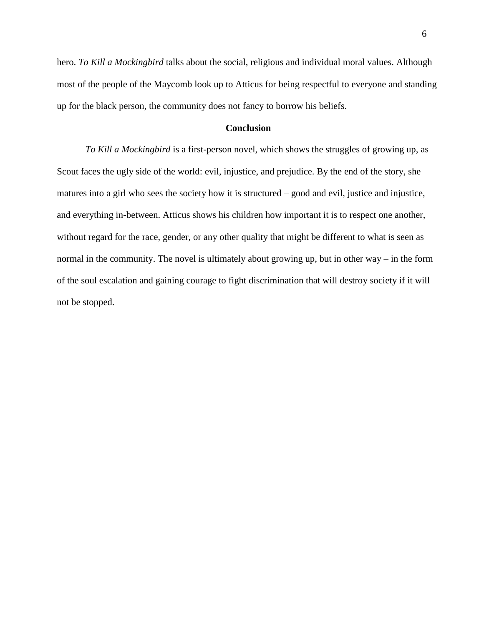hero. *To Kill a Mockingbird* talks about the social, religious and individual moral values. Although most of the people of the Maycomb look up to Atticus for being respectful to everyone and standing up for the black person, the community does not fancy to borrow his beliefs.

# **Conclusion**

*To Kill a Mockingbird* is a first-person novel, which shows the struggles of growing up, as Scout faces the ugly side of the world: evil, injustice, and prejudice. By the end of the story, she matures into a girl who sees the society how it is structured – good and evil, justice and injustice, and everything in-between. Atticus shows his children how important it is to respect one another, without regard for the race, gender, or any other quality that might be different to what is seen as normal in the community. The novel is ultimately about growing up, but in other way – in the form of the soul escalation and gaining courage to fight discrimination that will destroy society if it will not be stopped.